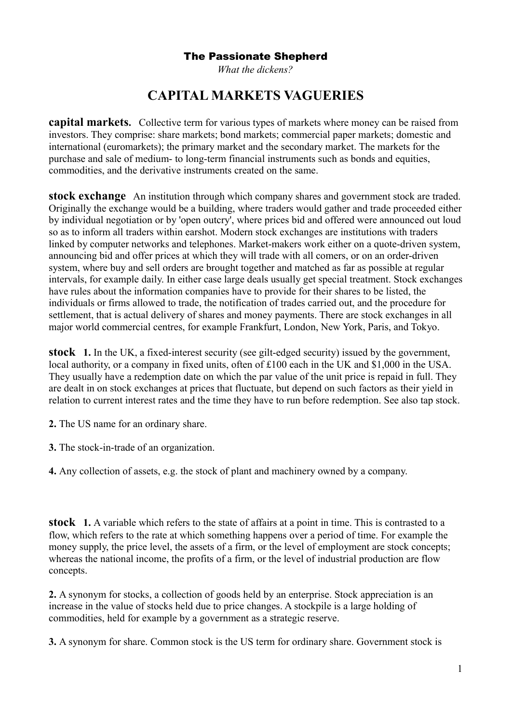*What the dickens?*

# **CAPITAL MARKETS VAGUERIES**

**capital markets.** Collective term for various types of markets where money can be raised from investors. They comprise: share markets; bond markets; commercial paper markets; domestic and international (euromarkets); the primary market and the secondary market. The markets for the purchase and sale of medium- to long-term financial instruments such as bonds and equities, commodities, and the derivative instruments created on the same.

**stock exchange** An institution through which company shares and government stock are traded. Originally the exchange would be a building, where traders would gather and trade proceeded either by individual negotiation or by 'open outcry', where prices bid and offered were announced out loud so as to inform all traders within earshot. Modern stock exchanges are institutions with traders linked by computer networks and telephones. Market-makers work either on a quote-driven system, announcing bid and offer prices at which they will trade with all comers, or on an order-driven system, where buy and sell orders are brought together and matched as far as possible at regular intervals, for example daily. In either case large deals usually get special treatment. Stock exchanges have rules about the information companies have to provide for their shares to be listed, the individuals or firms allowed to trade, the notification of trades carried out, and the procedure for settlement, that is actual delivery of shares and money payments. There are stock exchanges in all major world commercial centres, for example Frankfurt, London, New York, Paris, and Tokyo.

**stock 1.** In the UK, a fixed-interest security (see gilt-edged security) issued by the government, local authority, or a company in fixed units, often of £100 each in the UK and \$1,000 in the USA. They usually have a redemption date on which the par value of the unit price is repaid in full. They are dealt in on stock exchanges at prices that fluctuate, but depend on such factors as their yield in relation to current interest rates and the time they have to run before redemption. See also tap stock.

**2.** The US name for an ordinary share.

**3.** The stock-in-trade of an organization.

**4.** Any collection of assets, e.g. the stock of plant and machinery owned by a company.

**stock 1.** A variable which refers to the state of affairs at a point in time. This is contrasted to a flow, which refers to the rate at which something happens over a period of time. For example the money supply, the price level, the assets of a firm, or the level of employment are stock concepts; whereas the national income, the profits of a firm, or the level of industrial production are flow concepts.

**2.** A synonym for stocks, a collection of goods held by an enterprise. Stock appreciation is an increase in the value of stocks held due to price changes. A stockpile is a large holding of commodities, held for example by a government as a strategic reserve.

**3.** A synonym for share. Common stock is the US term for ordinary share. Government stock is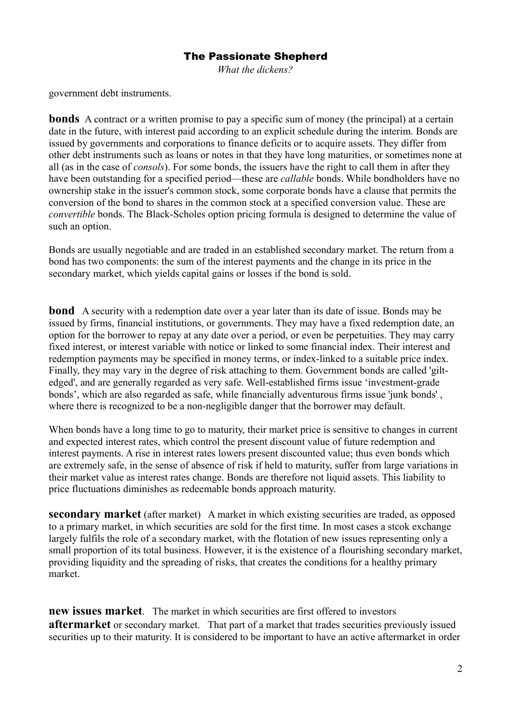*What the dickens?*

government debt instruments.

**bonds** A contract or a written promise to pay a specific sum of money (the principal) at a certain date in the future, with interest paid according to an explicit schedule during the interim. Bonds are issued by governments and corporations to finance deficits or to acquire assets. They differ from other debt instruments such as loans or notes in that they have long maturities, or sometimes none at all (as in the case of *consols*). For some bonds, the issuers have the right to call them in after they have been outstanding for a specified period—these are *callable* bonds. While bondholders have no ownership stake in the issuer's common stock, some corporate bonds have a clause that permits the conversion of the bond to shares in the common stock at a specified conversion value. These are *convertible* bonds. The Black-Scholes option pricing formula is designed to determine the value of such an option.

Bonds are usually negotiable and are traded in an established secondary market. The return from a bond has two components: the sum of the interest payments and the change in its price in the secondary market, which yields capital gains or losses if the bond is sold.

**bond** A security with a redemption date over a year later than its date of issue. Bonds may be issued by firms, financial institutions, or governments. They may have a fixed redemption date, an option for the borrower to repay at any date over a period, or even be perpetuities. They may carry fixed interest, or interest variable with notice or linked to some financial index. Their interest and redemption payments may be specified in money terms, or index-linked to a suitable price index. Finally, they may vary in the degree of risk attaching to them. Government bonds are called 'giltedged', and are generally regarded as very safe. Well-established firms issue 'investment-grade bonds', which are also regarded as safe, while financially adventurous firms issue 'junk bonds' , where there is recognized to be a non-negligible danger that the borrower may default.

When bonds have a long time to go to maturity, their market price is sensitive to changes in current and expected interest rates, which control the present discount value of future redemption and interest payments. A rise in interest rates lowers present discounted value; thus even bonds which are extremely safe, in the sense of absence of risk if held to maturity, suffer from large variations in their market value as interest rates change. Bonds are therefore not liquid assets. This liability to price fluctuations diminishes as redeemable bonds approach maturity.

**secondary market** (after market) A market in which existing securities are traded, as opposed to a primary market, in which securities are sold for the first time. In most cases a stcok exchange largely fulfils the role of a secondary market, with the flotation of new issues representing only a small proportion of its total business. However, it is the existence of a flourishing secondary market, providing liquidity and the spreading of risks, that creates the conditions for a healthy primary market.

**new issues market**. The market in which securities are first offered to investors **aftermarket** or secondary market. That part of a market that trades securities previously issued securities up to their maturity. It is considered to be important to have an active aftermarket in order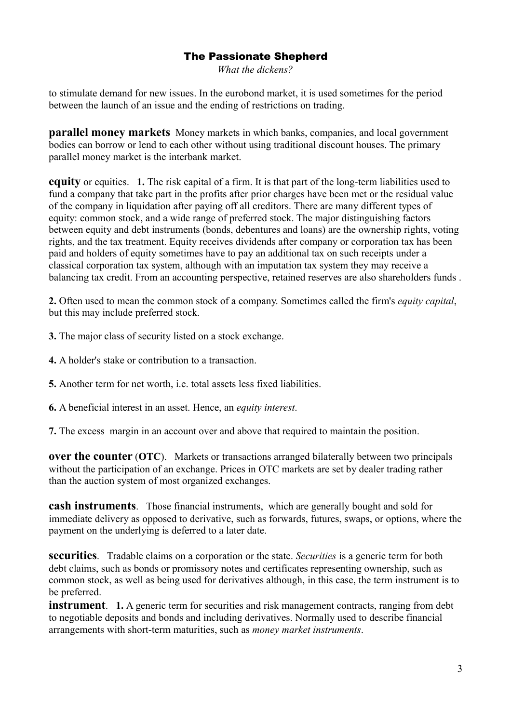*What the dickens?*

to stimulate demand for new issues. In the eurobond market, it is used sometimes for the period between the launch of an issue and the ending of restrictions on trading.

**parallel money markets** Money markets in which banks, companies, and local government bodies can borrow or lend to each other without using traditional discount houses. The primary parallel money market is the interbank market.

**equity** or equities. **1.** The risk capital of a firm. It is that part of the long-term liabilities used to fund a company that take part in the profits after prior charges have been met or the residual value of the company in liquidation after paying off all creditors. There are many different types of equity: common stock, and a wide range of preferred stock. The major distinguishing factors between equity and debt instruments (bonds, debentures and loans) are the ownership rights, voting rights, and the tax treatment. Equity receives dividends after company or corporation tax has been paid and holders of equity sometimes have to pay an additional tax on such receipts under a classical corporation tax system, although with an imputation tax system they may receive a balancing tax credit. From an accounting perspective, retained reserves are also shareholders funds .

**2.** Often used to mean the common stock of a company. Sometimes called the firm's *equity capital*, but this may include preferred stock.

**3.** The major class of security listed on a stock exchange.

- **4.** A holder's stake or contribution to a transaction.
- **5.** Another term for net worth, i.e. total assets less fixed liabilities.
- **6.** A beneficial interest in an asset. Hence, an *equity interest*.

**7.** The excess margin in an account over and above that required to maintain the position.

**over the counter** (OTC). Markets or transactions arranged bilaterally between two principals without the participation of an exchange. Prices in OTC markets are set by dealer trading rather than the auction system of most organized exchanges.

**cash instruments**. Those financial instruments, which are generally bought and sold for immediate delivery as opposed to derivative, such as forwards, futures, swaps, or options, where the payment on the underlying is deferred to a later date.

**securities**. Tradable claims on a corporation or the state. *Securities* is a generic term for both debt claims, such as bonds or promissory notes and certificates representing ownership, such as common stock, as well as being used for derivatives although, in this case, the term instrument is to be preferred.

**instrument**. **1.** A generic term for securities and risk management contracts, ranging from debt to negotiable deposits and bonds and including derivatives. Normally used to describe financial arrangements with short-term maturities, such as *money market instruments*.